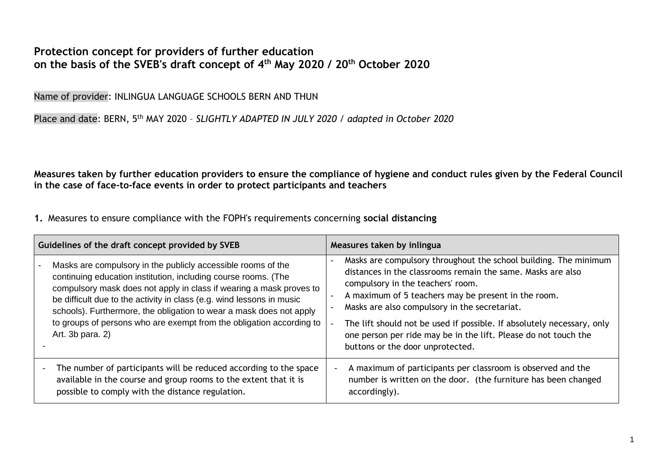## **Protection concept for providers of further education on the basis of the SVEB's draft concept of 4th May 2020 / 20th October 2020**

Name of provider: INLINGUA LANGUAGE SCHOOLS BERN AND THUN

Place and date: BERN, 5th MAY 2020 – *SLIGHTLY ADAPTED IN JULY 2020 / adapted in October 2020* 

**Measures taken by further education providers to ensure the compliance of hygiene and conduct rules given by the Federal Council in the case of face-to-face events in order to protect participants and teachers**

**1.** Measures to ensure compliance with the FOPH's requirements concerning **social distancing**

| Guidelines of the draft concept provided by SVEB                                                                                                                                                                                                                                                                                                                                                                                                  | Measures taken by inlingua                                                                                                                                                                                                                                                                                                                                                                                                                                    |  |
|---------------------------------------------------------------------------------------------------------------------------------------------------------------------------------------------------------------------------------------------------------------------------------------------------------------------------------------------------------------------------------------------------------------------------------------------------|---------------------------------------------------------------------------------------------------------------------------------------------------------------------------------------------------------------------------------------------------------------------------------------------------------------------------------------------------------------------------------------------------------------------------------------------------------------|--|
| Masks are compulsory in the publicly accessible rooms of the<br>continuing education institution, including course rooms. (The<br>compulsory mask does not apply in class if wearing a mask proves to<br>be difficult due to the activity in class (e.g. wind lessons in music<br>schools). Furthermore, the obligation to wear a mask does not apply<br>to groups of persons who are exempt from the obligation according to<br>Art. 3b para. 2) | Masks are compulsory throughout the school building. The minimum<br>distances in the classrooms remain the same. Masks are also<br>compulsory in the teachers' room.<br>A maximum of 5 teachers may be present in the room.<br>Masks are also compulsory in the secretariat.<br>The lift should not be used if possible. If absolutely necessary, only<br>one person per ride may be in the lift. Please do not touch the<br>buttons or the door unprotected. |  |
| The number of participants will be reduced according to the space<br>available in the course and group rooms to the extent that it is<br>possible to comply with the distance regulation.                                                                                                                                                                                                                                                         | A maximum of participants per classroom is observed and the<br>$\overline{\phantom{a}}$<br>number is written on the door. (the furniture has been changed<br>accordingly).                                                                                                                                                                                                                                                                                    |  |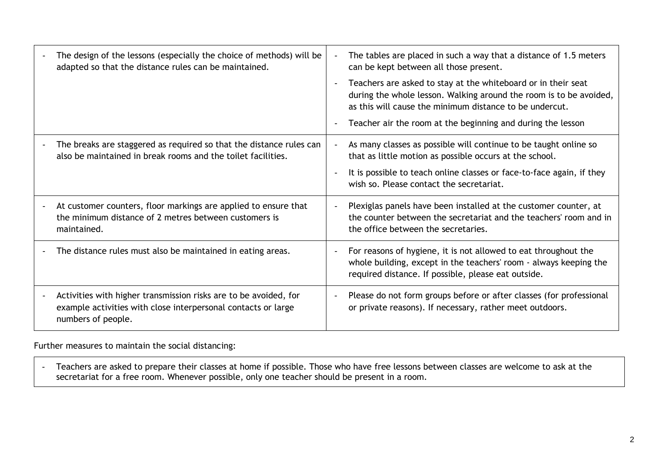|   | The design of the lessons (especially the choice of methods) will be<br>adapted so that the distance rules can be maintained.                           | $\blacksquare$           | The tables are placed in such a way that a distance of 1.5 meters<br>can be kept between all those present.                                                                                    |
|---|---------------------------------------------------------------------------------------------------------------------------------------------------------|--------------------------|------------------------------------------------------------------------------------------------------------------------------------------------------------------------------------------------|
|   |                                                                                                                                                         | $\blacksquare$           | Teachers are asked to stay at the whiteboard or in their seat<br>during the whole lesson. Walking around the room is to be avoided,<br>as this will cause the minimum distance to be undercut. |
|   |                                                                                                                                                         | $\overline{\phantom{a}}$ | Teacher air the room at the beginning and during the lesson                                                                                                                                    |
|   | The breaks are staggered as required so that the distance rules can<br>also be maintained in break rooms and the toilet facilities.                     |                          | As many classes as possible will continue to be taught online so<br>that as little motion as possible occurs at the school.                                                                    |
|   |                                                                                                                                                         |                          | It is possible to teach online classes or face-to-face again, if they<br>wish so. Please contact the secretariat.                                                                              |
| - | At customer counters, floor markings are applied to ensure that<br>the minimum distance of 2 metres between customers is<br>maintained.                 | $\blacksquare$           | Plexiglas panels have been installed at the customer counter, at<br>the counter between the secretariat and the teachers' room and in<br>the office between the secretaries.                   |
| - | The distance rules must also be maintained in eating areas.                                                                                             | $\blacksquare$           | For reasons of hygiene, it is not allowed to eat throughout the<br>whole building, except in the teachers' room - always keeping the<br>required distance. If possible, please eat outside.    |
|   | Activities with higher transmission risks are to be avoided, for<br>example activities with close interpersonal contacts or large<br>numbers of people. | $\blacksquare$           | Please do not form groups before or after classes (for professional<br>or private reasons). If necessary, rather meet outdoors.                                                                |

Further measures to maintain the social distancing:

- Teachers are asked to prepare their classes at home if possible. Those who have free lessons between classes are welcome to ask at the secretariat for a free room. Whenever possible, only one teacher should be present in a room.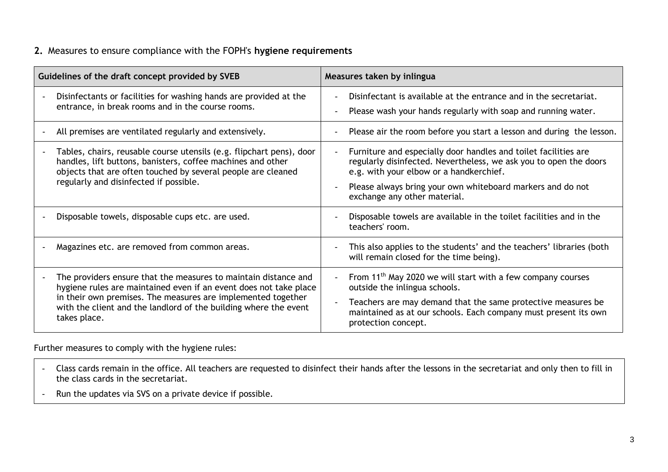#### **2.** Measures to ensure compliance with the FOPH's **hygiene requirements**

| Guidelines of the draft concept provided by SVEB |                                                                                                                                                                                                                                                                                          | Measures taken by inlingua |                                                                                                                                                                                 |  |
|--------------------------------------------------|------------------------------------------------------------------------------------------------------------------------------------------------------------------------------------------------------------------------------------------------------------------------------------------|----------------------------|---------------------------------------------------------------------------------------------------------------------------------------------------------------------------------|--|
|                                                  | Disinfectants or facilities for washing hands are provided at the<br>entrance, in break rooms and in the course rooms.                                                                                                                                                                   | $\blacksquare$             | Disinfectant is available at the entrance and in the secretariat.<br>Please wash your hands regularly with soap and running water.                                              |  |
|                                                  | All premises are ventilated regularly and extensively.                                                                                                                                                                                                                                   |                            | Please air the room before you start a lesson and during the lesson.                                                                                                            |  |
|                                                  | Tables, chairs, reusable course utensils (e.g. flipchart pens), door<br>handles, lift buttons, banisters, coffee machines and other<br>objects that are often touched by several people are cleaned<br>regularly and disinfected if possible.                                            |                            | Furniture and especially door handles and toilet facilities are<br>regularly disinfected. Nevertheless, we ask you to open the doors<br>e.g. with your elbow or a handkerchief. |  |
|                                                  |                                                                                                                                                                                                                                                                                          |                            | Please always bring your own whiteboard markers and do not<br>exchange any other material.                                                                                      |  |
|                                                  | Disposable towels, disposable cups etc. are used.                                                                                                                                                                                                                                        |                            | Disposable towels are available in the toilet facilities and in the<br>teachers' room.                                                                                          |  |
|                                                  | Magazines etc. are removed from common areas.                                                                                                                                                                                                                                            |                            | This also applies to the students' and the teachers' libraries (both<br>will remain closed for the time being).                                                                 |  |
|                                                  | The providers ensure that the measures to maintain distance and<br>hygiene rules are maintained even if an event does not take place<br>in their own premises. The measures are implemented together<br>with the client and the landlord of the building where the event<br>takes place. |                            | From 11 <sup>th</sup> May 2020 we will start with a few company courses<br>outside the inlingua schools.                                                                        |  |
|                                                  |                                                                                                                                                                                                                                                                                          | $\blacksquare$             | Teachers are may demand that the same protective measures be<br>maintained as at our schools. Each company must present its own<br>protection concept.                          |  |

Further measures to comply with the hygiene rules:

- Class cards remain in the office. All teachers are requested to disinfect their hands after the lessons in the secretariat and only then to fill in the class cards in the secretariat.
- Run the updates via SVS on a private device if possible.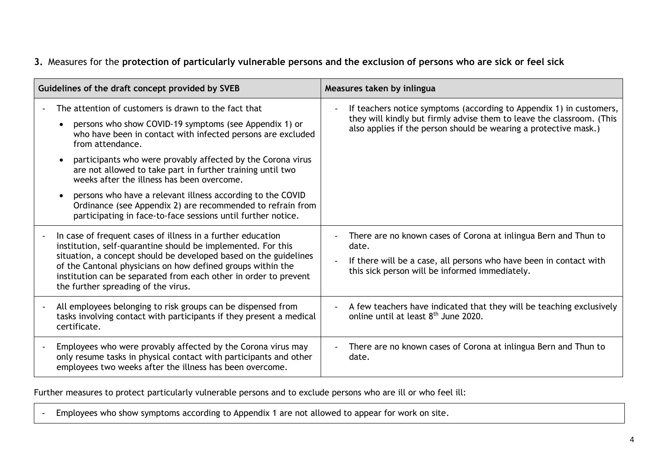## **3.** Measures for the **protection of particularly vulnerable persons and the exclusion of persons who are sick or feel sick**

| Guidelines of the draft concept provided by SVEB                                                                                                                                                                                                                                                                                                                                                                                                                                                                                                                                                                | Measures taken by inlingua                                                                                                                                                                                       |  |
|-----------------------------------------------------------------------------------------------------------------------------------------------------------------------------------------------------------------------------------------------------------------------------------------------------------------------------------------------------------------------------------------------------------------------------------------------------------------------------------------------------------------------------------------------------------------------------------------------------------------|------------------------------------------------------------------------------------------------------------------------------------------------------------------------------------------------------------------|--|
| The attention of customers is drawn to the fact that<br>persons who show COVID-19 symptoms (see Appendix 1) or<br>$\bullet$<br>who have been in contact with infected persons are excluded<br>from attendance.<br>participants who were provably affected by the Corona virus<br>$\bullet$<br>are not allowed to take part in further training until two<br>weeks after the illness has been overcome.<br>persons who have a relevant illness according to the COVID<br>$\bullet$<br>Ordinance (see Appendix 2) are recommended to refrain from<br>participating in face-to-face sessions until further notice. | If teachers notice symptoms (according to Appendix 1) in customers,<br>they will kindly but firmly advise them to leave the classroom. (This<br>also applies if the person should be wearing a protective mask.) |  |
| In case of frequent cases of illness in a further education<br>institution, self-quarantine should be implemented. For this<br>situation, a concept should be developed based on the guidelines<br>of the Cantonal physicians on how defined groups within the<br>institution can be separated from each other in order to prevent<br>the further spreading of the virus.                                                                                                                                                                                                                                       | There are no known cases of Corona at inlingua Bern and Thun to<br>date.<br>If there will be a case, all persons who have been in contact with<br>this sick person will be informed immediately.                 |  |
| All employees belonging to risk groups can be dispensed from<br>tasks involving contact with participants if they present a medical<br>certificate.                                                                                                                                                                                                                                                                                                                                                                                                                                                             | A few teachers have indicated that they will be teaching exclusively<br>online until at least 8 <sup>th</sup> June 2020.                                                                                         |  |
| Employees who were provably affected by the Corona virus may<br>only resume tasks in physical contact with participants and other<br>employees two weeks after the illness has been overcome.                                                                                                                                                                                                                                                                                                                                                                                                                   | There are no known cases of Corona at inlingua Bern and Thun to<br>date.                                                                                                                                         |  |

Further measures to protect particularly vulnerable persons and to exclude persons who are ill or who feel ill:

- Employees who show symptoms according to Appendix 1 are not allowed to appear for work on site.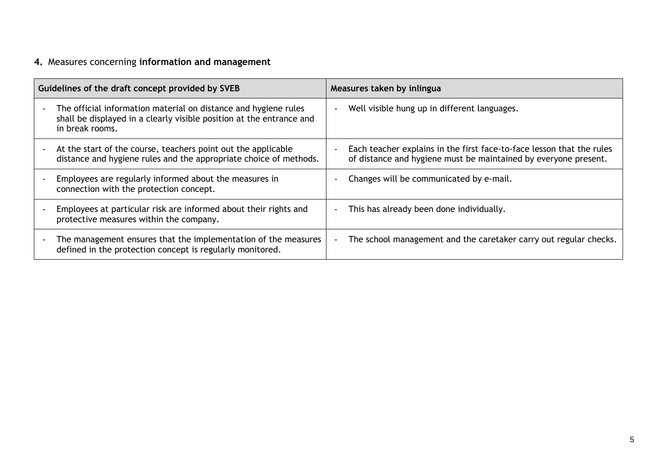# **4.** Measures concerning **information and management**

| Guidelines of the draft concept provided by SVEB |                                                                                                                                                            | Measures taken by inlingua |                                                                                                                                          |  |
|--------------------------------------------------|------------------------------------------------------------------------------------------------------------------------------------------------------------|----------------------------|------------------------------------------------------------------------------------------------------------------------------------------|--|
|                                                  | The official information material on distance and hygiene rules<br>shall be displayed in a clearly visible position at the entrance and<br>in break rooms. |                            | Well visible hung up in different languages.                                                                                             |  |
| $\overline{\phantom{a}}$                         | At the start of the course, teachers point out the applicable<br>distance and hygiene rules and the appropriate choice of methods.                         |                            | Each teacher explains in the first face-to-face lesson that the rules<br>of distance and hygiene must be maintained by everyone present. |  |
|                                                  | Employees are regularly informed about the measures in<br>connection with the protection concept.                                                          |                            | Changes will be communicated by e-mail.                                                                                                  |  |
|                                                  | Employees at particular risk are informed about their rights and<br>protective measures within the company.                                                |                            | This has already been done individually.                                                                                                 |  |
| $\blacksquare$                                   | The management ensures that the implementation of the measures<br>defined in the protection concept is regularly monitored.                                | $\blacksquare$             | The school management and the caretaker carry out regular checks.                                                                        |  |